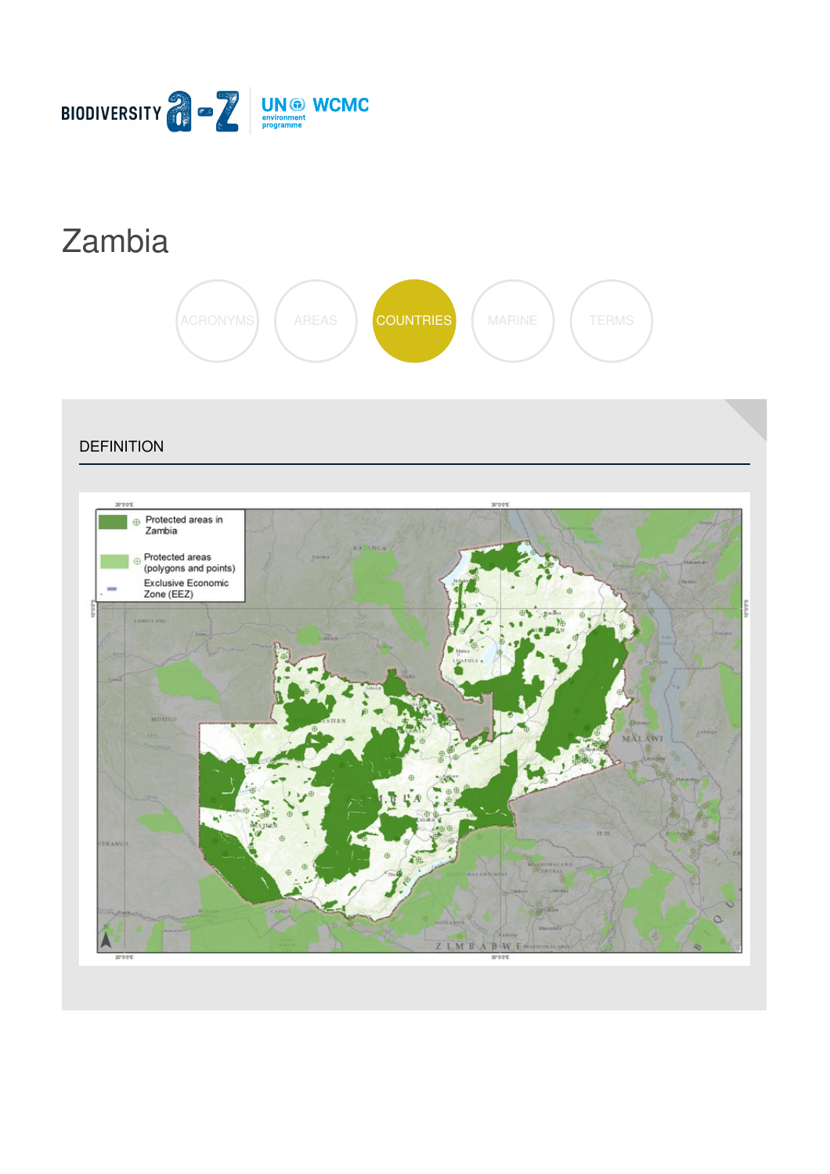

# [Zambia](https://biodiversitya-z.org/content/zambia)



**DEFINITION** 

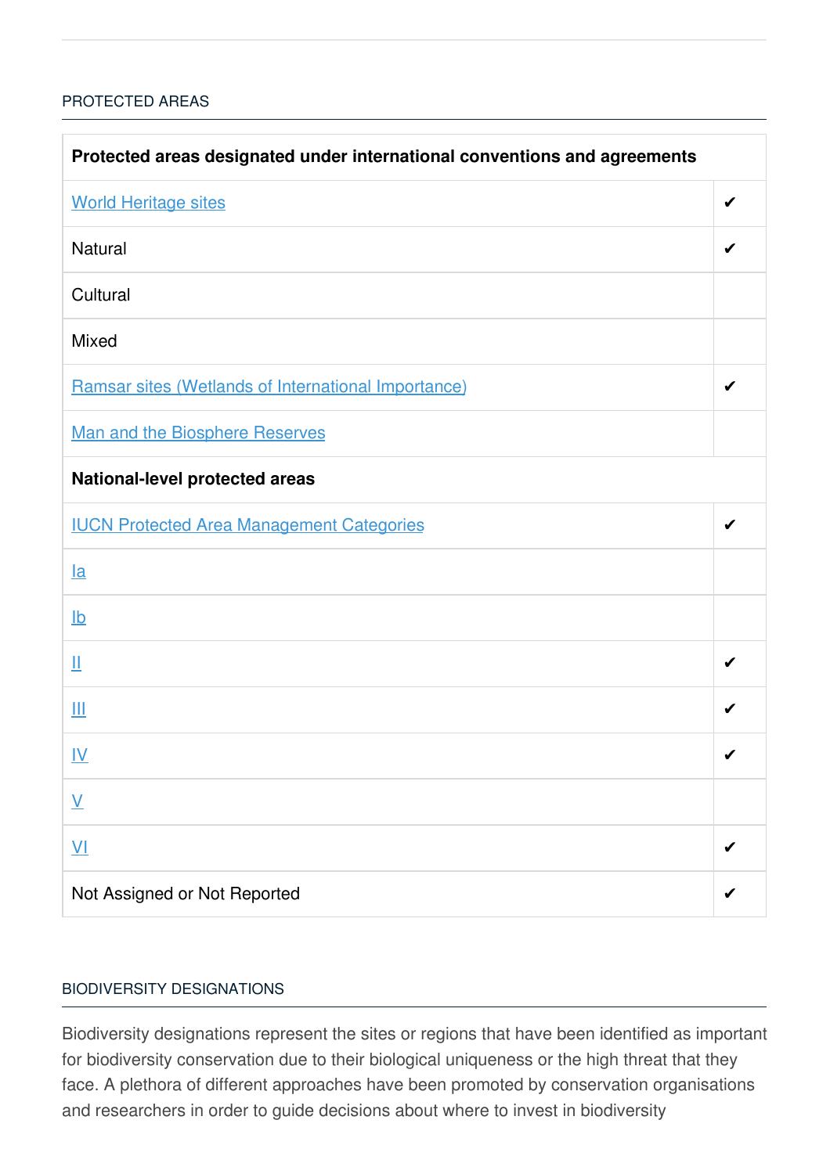### [PROTECTED](javascript:void(0)) AREAS

| Protected areas designated under international conventions and agreements |   |  |
|---------------------------------------------------------------------------|---|--|
| <b>World Heritage sites</b>                                               | ✔ |  |
| <b>Natural</b>                                                            | ✔ |  |
| Cultural                                                                  |   |  |
| <b>Mixed</b>                                                              |   |  |
| Ramsar sites (Wetlands of International Importance)                       | ✔ |  |
| <b>Man and the Biosphere Reserves</b>                                     |   |  |
| <b>National-level protected areas</b>                                     |   |  |
| <b>IUCN Protected Area Management Categories</b>                          |   |  |
| $l$ a                                                                     |   |  |
| $\underline{\mathsf{lb}}$                                                 |   |  |
| Щ                                                                         |   |  |
| Ш                                                                         | ✔ |  |
| <u>IV</u>                                                                 | ✔ |  |
| $\underline{\mathsf{V}}$                                                  |   |  |
| $\underline{\mathsf{V}}$                                                  |   |  |
| Not Assigned or Not Reported                                              |   |  |

#### BIODIVERSITY [DESIGNATIONS](javascript:void(0))

Biodiversity designations represent the sites or regions that have been identified as important for biodiversity conservation due to their biological uniqueness or the high threat that they face. A plethora of different approaches have been promoted by conservation organisations and researchers in order to guide decisions about where to invest in biodiversity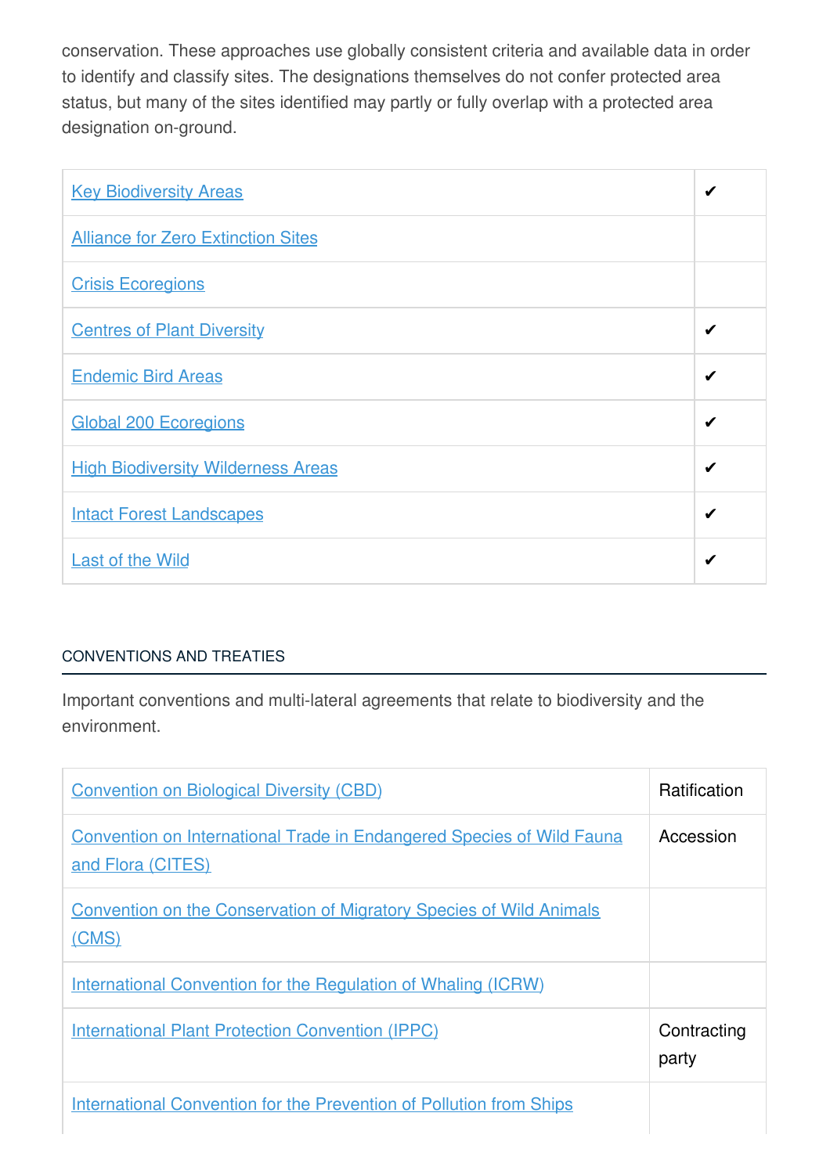conservation. These approaches use globally consistent criteria and available data in order to identify and classify sites. The designations themselves do not confer protected area status, but many of the sites identified may partly or fully overlap with a protected area designation on-ground.

| <b>Key Biodiversity Areas</b>             | ✔ |
|-------------------------------------------|---|
| <b>Alliance for Zero Extinction Sites</b> |   |
| <b>Crisis Ecoregions</b>                  |   |
| <b>Centres of Plant Diversity</b>         | ✔ |
| <b>Endemic Bird Areas</b>                 | ✔ |
| <b>Global 200 Ecoregions</b>              | ✔ |
| <b>High Biodiversity Wilderness Areas</b> | ✔ |
| <b>Intact Forest Landscapes</b>           | ✔ |
| <b>Last of the Wild</b>                   | ✔ |

# [CONVENTIONS](javascript:void(0)) AND TREATIES

Important conventions and multi-lateral agreements that relate to biodiversity and the environment.

| <b>Convention on Biological Diversity (CBD)</b>                                                   | <b>Ratification</b>  |
|---------------------------------------------------------------------------------------------------|----------------------|
| <b>Convention on International Trade in Endangered Species of Wild Fauna</b><br>and Flora (CITES) | Accession            |
| <b>Convention on the Conservation of Migratory Species of Wild Animals</b><br>(CMS)               |                      |
| International Convention for the Regulation of Whaling (ICRW)                                     |                      |
| <b>International Plant Protection Convention (IPPC)</b>                                           | Contracting<br>party |
| <b>International Convention for the Prevention of Pollution from Ships</b>                        |                      |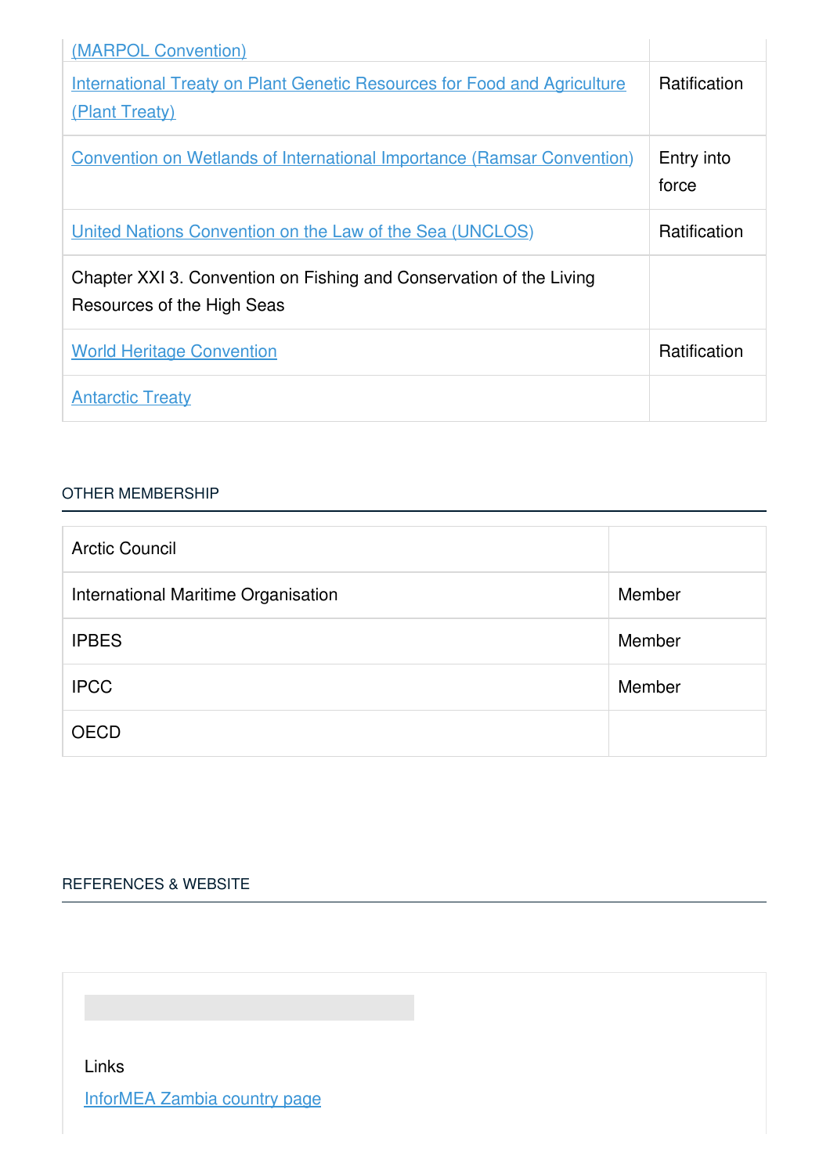| (MARPOL Convention)                                                                               |                     |
|---------------------------------------------------------------------------------------------------|---------------------|
| <b>International Treaty on Plant Genetic Resources for Food and Agriculture</b><br>(Plant Treaty) | <b>Ratification</b> |
| <b>Convention on Wetlands of International Importance (Ramsar Convention)</b>                     | Entry into<br>force |
| United Nations Convention on the Law of the Sea (UNCLOS)                                          | <b>Ratification</b> |
| Chapter XXI 3. Convention on Fishing and Conservation of the Living<br>Resources of the High Seas |                     |
| <b>World Heritage Convention</b>                                                                  | Ratification        |
| <b>Antarctic Treaty</b>                                                                           |                     |

#### OTHER [MEMBERSHIP](javascript:void(0))

| <b>Arctic Council</b>               |        |
|-------------------------------------|--------|
| International Maritime Organisation | Member |
| <b>IPBES</b>                        | Member |
| <b>IPCC</b>                         | Member |
| <b>OECD</b>                         |        |

# [REFERENCES](javascript:void(0)) & WEBSITE

Links

[InforMEA](https://www.informea.org/countries/zm) Zambia country page